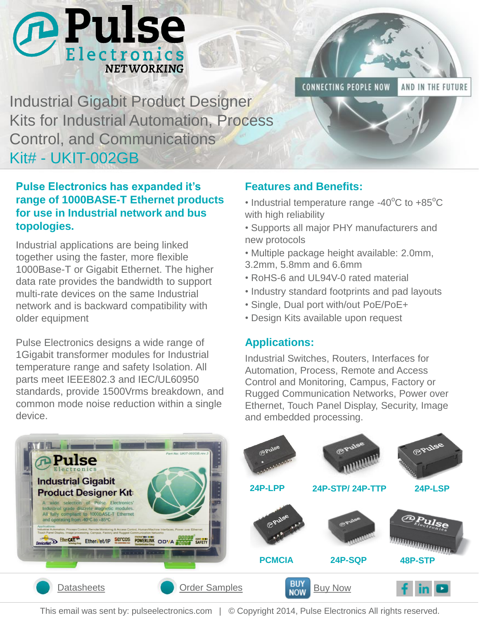

**CONNECTING PEOPLE NOW** 

AND IN THE FUTURE

Industrial Gigabit Product Designer Kits for Industrial Automation, Process Control, and Communications Kit# - UKIT-002GB

### **Pulse Electronics has expanded it's range of 1000BASE-T Ethernet products for use in Industrial network and bus topologies.**

Industrial applications are being linked together using the faster, more flexible 1000Base-T or Gigabit Ethernet. The higher data rate provides the bandwidth to support multi-rate devices on the same Industrial network and is backward compatibility with older equipment

Pulse Electronics designs a wide range of 1Gigabit transformer modules for Industrial temperature range and safety Isolation. All parts meet IEEE802.3 and IEC/UL60950 standards, provide 1500Vrms breakdown, and common mode noise reduction within a single device.

### **Features and Benefits:**

- Industrial temperature range -40 $\mathrm{^{\circ}C}$  to +85 $\mathrm{^{\circ}C}$ with high reliability
- Supports all major PHY manufacturers and new protocols
- Multiple package height available: 2.0mm, 3.2mm, 5.8mm and 6.6mm
- RoHS-6 and UL94V-0 rated material
- Industry standard footprints and pad layouts
- Single, Dual port with/out PoE/PoE+
- Design Kits available upon request

#### **Applications:**

Industrial Switches, Routers, Interfaces for Automation, Process, Remote and Access Control and Monitoring, Campus, Factory or Rugged Communication Networks, Power over Ethernet, Touch Panel Display, Security, Image and embedded processing.



This email was sent by: pulseelectronics.com | © Copyright 2014, Pulse Electronics All rights reserved.